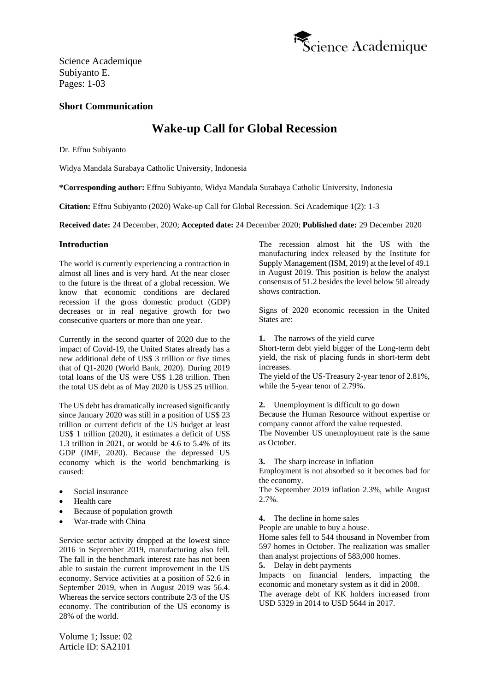

Science Academique Subiyanto E. Pages: 1-03

# **Short Communication**

# **Wake-up Call for Global Recession**

Dr. Effnu Subiyanto

Widya Mandala Surabaya Catholic University, Indonesia

**\*Corresponding author:** Effnu Subiyanto, Widya Mandala Surabaya Catholic University, Indonesia

**Citation:** Effnu Subiyanto (2020) Wake-up Call for Global Recession. Sci Academique 1(2): 1-3

**Received date:** 24 December, 2020; **Accepted date:** 24 December 2020; **Published date:** 29 December 2020

### **Introduction**

The world is currently experiencing a contraction in almost all lines and is very hard. At the near closer to the future is the threat of a global recession. We know that economic conditions are declared recession if the gross domestic product (GDP) decreases or in real negative growth for two consecutive quarters or more than one year.

Currently in the second quarter of 2020 due to the impact of Covid-19, the United States already has a new additional debt of US\$ 3 trillion or five times that of Q1-2020 (World Bank, 2020). During 2019 total loans of the US were US\$ 1.28 trillion. Then the total US debt as of May 2020 is US\$ 25 trillion.

The US debt has dramatically increased significantly since January 2020 was still in a position of US\$ 23 trillion or current deficit of the US budget at least US\$ 1 trillion (2020), it estimates a deficit of US\$ 1.3 trillion in 2021, or would be 4.6 to 5.4% of its GDP (IMF, 2020). Because the depressed US economy which is the world benchmarking is caused:

- Social insurance
- Health care
- Because of population growth
- War-trade with China

Service sector activity dropped at the lowest since 2016 in September 2019, manufacturing also fell. The fall in the benchmark interest rate has not been able to sustain the current improvement in the US economy. Service activities at a position of 52.6 in September 2019, when in August 2019 was 56.4. Whereas the service sectors contribute 2/3 of the US economy. The contribution of the US economy is 28% of the world.

Volume 1; Issue: 02 Article ID: SA2101

The recession almost hit the US with the manufacturing index released by the Institute for Supply Management (ISM, 2019) at the level of 49.1 in August 2019. This position is below the analyst consensus of 51.2 besides the level below 50 already shows contraction.

Signs of 2020 economic recession in the United States are:

**1.** The narrows of the yield curve

Short-term debt yield bigger of the Long-term debt yield, the risk of placing funds in short-term debt increases.

The yield of the US-Treasury 2-year tenor of 2.81%, while the 5-year tenor of 2.79%.

**2.** Unemployment is difficult to go down Because the Human Resource without expertise or company cannot afford the value requested. The November US unemployment rate is the same as October.

**3.** The sharp increase in inflation

Employment is not absorbed so it becomes bad for the economy.

The September 2019 inflation 2.3%, while August 2.7%.

- **4.** The decline in home sales
- People are unable to buy a house.

Home sales fell to 544 thousand in November from 597 homes in October. The realization was smaller than analyst projections of 583,000 homes.

**5.** Delay in debt payments

Impacts on financial lenders, impacting the economic and monetary system as it did in 2008.

The average debt of KK holders increased from USD 5329 in 2014 to USD 5644 in 2017.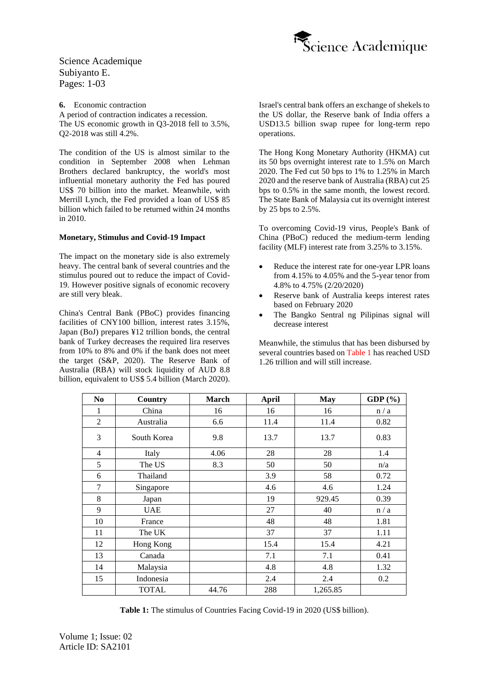

Science Academique Subiyanto E. Pages: 1-03

**6.** Economic contraction A period of contraction indicates a recession. The US economic growth in Q3-2018 fell to 3.5%, Q2-2018 was still 4.2%.

The condition of the US is almost similar to the condition in September 2008 when Lehman Brothers declared bankruptcy, the world's most influential monetary authority the Fed has poured US\$ 70 billion into the market. Meanwhile, with Merrill Lynch, the Fed provided a loan of US\$ 85 billion which failed to be returned within 24 months in 2010.

#### **Monetary, Stimulus and Covid-19 Impact**

The impact on the monetary side is also extremely heavy. The central bank of several countries and the stimulus poured out to reduce the impact of Covid-19. However positive signals of economic recovery are still very bleak.

China's Central Bank (PBoC) provides financing facilities of CNY100 billion, interest rates 3.15%, Japan (BoJ) prepares ¥12 trillion bonds, the central bank of Turkey decreases the required lira reserves from 10% to 8% and 0% if the bank does not meet the target (S&P, 2020). The Reserve Bank of Australia (RBA) will stock liquidity of AUD 8.8 billion, equivalent to US\$ 5.4 billion (March 2020).

Israel's central bank offers an exchange of shekels to the US dollar, the Reserve bank of India offers a USD13.5 billion swap rupee for long-term repo operations.

The Hong Kong Monetary Authority (HKMA) cut its 50 bps overnight interest rate to 1.5% on March 2020. The Fed cut 50 bps to 1% to 1.25% in March 2020 and the reserve bank of Australia (RBA) cut 25 bps to 0.5% in the same month, the lowest record. The State Bank of Malaysia cut its overnight interest by 25 bps to 2.5%.

To overcoming Covid-19 virus, People's Bank of China (PBoC) reduced the medium-term lending facility (MLF) interest rate from 3.25% to 3.15%.

- Reduce the interest rate for one-year LPR loans from 4.15% to 4.05% and the 5-year tenor from 4.8% to 4.75% (2/20/2020)
- Reserve bank of Australia keeps interest rates based on February 2020
- The Bangko Sentral ng Pilipinas signal will decrease interest

Meanwhile, the stimulus that has been disbursed by several countries based on Table 1 has reached USD 1.26 trillion and will still increase.

| N <sub>0</sub> | Country      | <b>March</b> | <b>April</b> | <b>May</b> | GDP $(\% )$ |
|----------------|--------------|--------------|--------------|------------|-------------|
| 1              | China        | 16           | 16           | 16         | n/a         |
| $\overline{c}$ | Australia    | 6.6          | 11.4         | 11.4       | 0.82        |
| 3              | South Korea  | 9.8          | 13.7         | 13.7       | 0.83        |
| $\overline{4}$ | Italy        | 4.06         | 28           | 28         | 1.4         |
| 5              | The US       | 8.3          | 50           | 50         | n/a         |
| 6              | Thailand     |              | 3.9          | 58         | 0.72        |
| 7              | Singapore    |              | 4.6          | 4.6        | 1.24        |
| 8              | Japan        |              | 19           | 929.45     | 0.39        |
| 9              | <b>UAE</b>   |              | 27           | 40         | n/a         |
| 10             | France       |              | 48           | 48         | 1.81        |
| 11             | The UK       |              | 37           | 37         | 1.11        |
| 12             | Hong Kong    |              | 15.4         | 15.4       | 4.21        |
| 13             | Canada       |              | 7.1          | 7.1        | 0.41        |
| 14             | Malaysia     |              | 4.8          | 4.8        | 1.32        |
| 15             | Indonesia    |              | 2.4          | 2.4        | 0.2         |
|                | <b>TOTAL</b> | 44.76        | 288          | 1,265.85   |             |

**Table 1:** The stimulus of Countries Facing Covid-19 in 2020 (US\$ billion).